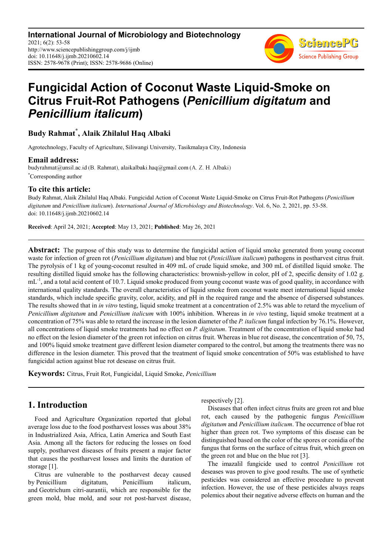**International Journal of Microbiology and Biotechnology** 2021; 6(2): 53-58 http://www.sciencepublishinggroup.com/j/ijmb doi: 10.11648/j.ijmb.20210602.14 ISSN: 2578-9678 (Print); ISSN: 2578-9686 (Online)



# **Fungicidal Action of Coconut Waste Liquid-Smoke on Citrus Fruit-Rot Pathogens (***Penicillium digitatum* **and**  *Penicillium italicum***)**

## **Budy Rahmat\* , Alaik Zhilalul Haq Albaki**

Agrotechnology, Faculty of Agriculture, Siliwangi University, Tasikmalaya City, Indonesia

**Email address:**<br>budyrahmat@unsil.ac.id (B. Rahmat), alaikalbaki.haq@gmail.com (A. Z. H. Albaki) \*Corresponding author

### **To cite this article:**

Budy Rahmat, Alaik Zhilalul Haq Albaki. Fungicidal Action of Coconut Waste Liquid-Smoke on Citrus Fruit-Rot Pathogens (*Penicillium digitatum* and *Penicillium italicum*). *International Journal of Microbiology and Biotechnology*. Vol. 6, No. 2, 2021, pp. 53-58. doi: 10.11648/j.ijmb.20210602.14

**Received**: April 24, 2021; **Accepted**: May 13, 2021; **Published**: May 26, 2021

**Abstract:** The purpose of this study was to determine the fungicidal action of liquid smoke generated from young coconut waste for infection of green rot (*Penicillium digitatum*) and blue rot (*Penicillium italicum*) pathogens in postharvest citrus fruit. The pyrolysis of 1 kg of young-coconut resulted in 409 mL of crude liquid smoke, and 300 mL of distilled liquid smoke. The resulting distilled liquid smoke has the following characteristics: brownish-yellow in color, pH of 2, specific density of 1.02 g.  $m<sup>-1</sup>$ , and a total acid content of 10.7. Liquid smoke produced from young coconut waste was of good quality, in accordance with international quality standards. The overall characteristics of liquid smoke from coconut waste meet international liquid smoke standards, which include specific gravity, color, acidity, and pH in the required range and the absence of dispersed substances. The results showed that in *in vitro* testing, liquid smoke treatment at a concentration of 2.5% was able to retard the mycelium of *Penicillium digitatum* and *Penicillium italicum* with 100% inhibition. Whereas in *in vivo* testing, liquid smoke treatment at a concentration of 75% was able to retard the increase in the lesion diameter of the *P. italicum* fungal infection by 76.1%. However, all concentrations of liquid smoke treatments had no effect on *P. digitatum*. Treatment of the concentration of liquid smoke had no effect on the lesion diameter of the green rot infection on citrus fruit. Whereas in blue rot disease, the concentration of 50, 75, and 100% liquid smoke treatment gave different lesion diameter compared to the control, but among the treatments there was no difference in the lesion diameter. This proved that the treatment of liquid smoke concentration of 50% was established to have fungicidal action against blue rot desease on citrus fruit.

**Keywords:** Citrus, Fruit Rot, Fungicidal, Liquid Smoke, *Penicillium*

## **1. Introduction**

Food and Agriculture Organization reported that global average loss due to the food postharvest losses was about 38% in Industrialized Asia, Africa, Latin America and South East Asia. Among all the factors for reducing the losses on food supply, postharvest diseases of fruits present a major factor that causes the postharvest losses and limits the duration of storage [1].

Citrus are vulnerable to the postharvest decay caused by Penicillium digitatum, Penicillium italicum, and Geotrichum citri-aurantii, which are responsible for the green mold, blue mold, and sour rot post-harvest disease, respectively [2].

Diseases that often infect citrus fruits are green rot and blue rot, each caused by the pathogenic fungus *Penicillium digitatum* and *Penicillium italicum*. The occurrence of blue rot higher than green rot. Two symptoms of this disease can be distinguished based on the color of the spores or conidia of the fungus that forms on the surface of citrus fruit, which green on the green rot and blue on the blue rot [3].

The imazalil fungicide used to control *Penicillium* rot deseases was proven to give good results. The use of synthetic pesticides was considered an effective procedure to prevent infection. However, the use of these pesticides always reaps polemics about their negative adverse effects on human and the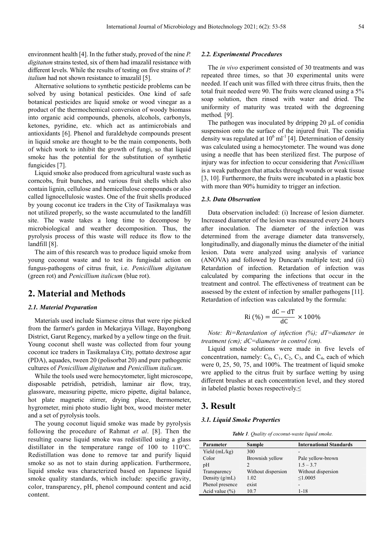environment health [4]. In the futher study, proved of the nine *P. digitatum* strains tested, six of them had imazalil resistance with different levels. While the results of testing on five strains of *P. italium* had not shown resistance to imazalil [5].

Alternative solutions to synthetic pesticide problems can be solved by using botanical pesticides. One kind of safe botanical pesticides are liquid smoke or wood vinegar as a product of the thermochemical conversion of woody biomass into organic acid compounds, phenols, alcohols, carbonyls, ketones, pyridine, etc. which act as antimicrobials and antioxidants [6]. Phenol and furaldehyde compounds present in liquid smoke are thought to be the main components, both of which work to inhibit the growth of fungi, so that liquid smoke has the potential for the substitution of synthetic fungicides [7].

Liquid smoke also produced from agricultural waste such as corncobs, fruit bunches, and various fruit shells which also contain lignin, cellulose and hemicellulose compounds or also called lignocellulosic wastes. One of the fruit shells produced by young coconut ice traders in the City of Tasikmalaya was not utilized properly, so the waste accumulated to the landfill site. The waste takes a long time to decompose by microbiological and weather decomposition. Thus, the pyrolysis process of this waste will reduce its flow to the landfill [8].

The aim of this research was to produce liquid smoke from young coconut waste and to test its fungisdal action on fungus-pathogens of citrus fruit, i.e. *Penicillium digitatum*  (green rot) and *Penicillium italicum* (blue rot).

## **2. Material and Methods**

#### *2.1. Material Preparation*

Materials used include Siamese citrus that were ripe picked from the farmer's garden in Mekarjaya Village, Bayongbong District, Garut Regency, marked by a yellow tinge on the fruit. Young coconut shell waste was collected from four young coconut ice traders in Tasikmalaya City, pottato dextrose agar (PDA), aquades, tween 20 (polisorbat 20) and pure pathogenic cultures of *Penicillium digitatum* and *Penicillium italicum*.

While the tools used were hemocytometer, light microscope, disposable petridish, petridish, laminar air flow, tray, glassware, measuring pipette, micro pipette, digital balance, hot plate magnetic stirrer, drying place, thermometer, hygrometer, mini photo studio light box, wood moister meter and a set of pyrolysis tools.

The young coconut liquid smoke was made by pyrolysis following the procedure of Rahmat *et al*. [8]. Then the resulting coarse liquid smoke was redistilled using a glass distillator in the temperature range of 100 to 110°C. Redistillation was done to remove tar and purify liquid smoke so as not to stain during application. Furthermore, liquid smoke was characterized based on Japanese liquid smoke quality standards, which include: specific gravity, color, transparency, pH, phenol compound content and acid content.

#### *2.2. Experimental Procedures*

The *in vivo* experiment consisted of 30 treatments and was repeated three times, so that 30 experimental units were needed. If each unit was filled with three citrus fruits, then the total fruit needed were 90. The fruits were cleaned using a 5% soap solution, then rinsed with water and dried. The uniformity of maturity was treated with the degreening method*.* [9].

The pathogen was inoculated by dripping 20  $\mu$ L of conidia suspension onto the surface of the injured fruit. The conidia density was regulated at  $10^6$  ml<sup>-1</sup> [4]. Determination of density was calculated using a hemocytometer. The wound was done using a needle that has been sterilized first. The purpose of injury was for infection to occur considering that *Penicillium* is a weak pathogen that attacks through wounds or weak tissue [3, 10]. Furthermore, the fruits were incubated in a plastic box with more than 90% humidity to trigger an infection.

#### *2.3. Data Observation*

Data observation included: (i) Increase of lesion diameter. Increased diameter of the lesion was measured every 24 hours after inoculation. The diameter of the infection was determined from the average diameter data transversely, longitudinally, and diagonally minus the diameter of the initial lesion. Data were analyzed using analysis of variance (ANOVA) and followed by Duncan's multiple test; and (ii) Retardation of infection. Retardation of infection was calculated by comparing the infections that occur in the treatment and control. The effectiveness of treatment can be assessed by the extent of infection by smaller pathogens [11]. Retardation of infection was calculated by the formula:

$$
Ri \left( \% \right) = \frac{dC - dT}{dC} \times 100\%
$$

*Note: Ri=Retardation of infection (%); dT=diameter in treatment (cm); dC=diameter in control (cm).* 

Liquid smoke solutions were made in five levels of concentration, namely:  $C_0$ ,  $C_1$ ,  $C_2$ ,  $C_3$ , and  $C_4$ , each of which were  $0, 25, 50, 75,$  and  $100\%$ . The treatment of liquid smoke wre applied to the citrus fruit by surface wetting by using different brushes at each concentration level, and they stored in labeled plastic boxes respectively.≤

## **3. Result**

#### *3.1. Liquid Smoke Properties*

*Table 1. Quality of coconut-waste liquid smoke.* 

| Parameter          | Sample             | <b>International Standards</b> |
|--------------------|--------------------|--------------------------------|
| Yield $(mL/kg)$    | 300                |                                |
| Color              | Brownish yellow    | Pale yellow-brown              |
| pH                 | 2                  | $1.5 - 3.7$                    |
| Transparency       | Without dispersion | Without dispersion             |
| Density $(g/mL)$   | 1.02               | $\leq 1.0005$                  |
| Phenol presence    | exist              | -                              |
| Acid value $(\% )$ | 10.7               | $1 - 18$                       |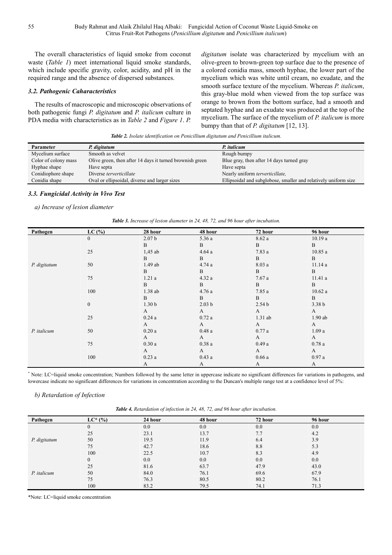The overall characteristics of liquid smoke from coconut waste (*Table 1*) meet international liquid smoke standards, which include specific gravity, color, acidity, and pH in the required range and the absence of dispersed substances.

#### *3.2. Pathogenic Caharacteristics*

The results of macroscopic and microscopic observations of both pathogenic fungi *P. digitatum* and *P. italicum* culture in PDA media with characteristics as in *Table 2* and *Figure 1*. *P.* 

*digitatum* isolate was characterized by mycelium with an olive-green to brown-green top surface due to the presence of a colored conidia mass, smooth hyphae, the lower part of the mycelium which was white until cream, no exudate, and the smooth surface texture of the mycelium. Whereas *P. italicum*, this gray-blue mold when viewed from the top surface was orange to brown from the bottom surface, had a smooth and septated hyphae and an exudate was produced at the top of the mycelium. The surface of the mycelium of *P. italicum* is more bumpy than that of *P. digitatum* [12, 13].

*Table 2. Isolate identification on Penicillium digitatum and Penicillium italicum.* 

| Parameter            | P. digitatum                                             | P. <i>italicum</i>                                              |
|----------------------|----------------------------------------------------------|-----------------------------------------------------------------|
| Mycelium surface     | Smooth as velvet                                         | Rough bumpy                                                     |
| Color of colony mass | Olive green, then after 14 days it turned brownish green | Blue gray, then after 14 days turned gray                       |
| Hyphae shape         | Have septa                                               | Have septa                                                      |
| Conidiophore shape   | Diverse <i>terverticillate</i>                           | Nearly uniform <i>terverticillate</i> ,                         |
| Conidia shape        | Oval or ellipsoidal, diverse and larger sizes            | Ellipsoidal and subglobose, smaller and relatively uniform size |

#### *3.3. Fungicidal Activity in Vivo Test*

#### *a) Increase of lesion diameter*

| Pathogen     | LC(%)            | 28 hour           | 48 hour           | 72 hour           | 96 hour           |  |
|--------------|------------------|-------------------|-------------------|-------------------|-------------------|--|
|              | $\mathbf{0}$     | 2.07 <sub>b</sub> | 5.36a             | 8.62a             | 10.19a            |  |
|              |                  | B                 | $\, {\bf B}$      | $\mathbf{B}$      | $\mathbf{B}$      |  |
|              | 25               | $1,45$ ab         | 4.64a             | 7.83 a            | 10.85a            |  |
|              |                  | B                 | $\, {\bf B}$      | B                 | B                 |  |
| P. digitatum | 50               | 1.49 ab           | 4.74 a            | 8.03a             | 11.14 a           |  |
|              |                  | B                 | $\, {\bf B}$      | B                 | B                 |  |
|              | 75               | 1.21a             | 4.32a             | 7.67a             | 11.41 a           |  |
|              |                  | B                 | $\, {\bf B}$      | B                 | B                 |  |
|              | 100              | 1.38 ab           | 4.76 a            | 7.85a             | 10.62a            |  |
|              |                  | B                 | $\, {\bf B}$      | B                 | B                 |  |
|              | $\boldsymbol{0}$ | 1.30 <sub>b</sub> | 2.03 <sub>b</sub> | 2.54 <sub>b</sub> | 3.38 <sub>b</sub> |  |
|              |                  | A                 | A                 | A                 | $\mathbf{A}$      |  |
|              | 25               | 0.24a             | 0.72a             | $1.31$ ab         | $1.90$ ab         |  |
|              |                  | $\mathbf{A}$      | A                 | A                 | $\mathbf{A}$      |  |
| P. italicum  | 50               | 0.20a             | 0.48a             | 0.77a             | 1.09a             |  |
|              |                  | A                 | A                 | $\mathbf{A}$      | $\mathbf{A}$      |  |
|              | 75               | 0.30a             | 0.38a             | 0.49a             | 0.78a             |  |
|              |                  | A                 | $\mathbf{A}$      | A                 | A                 |  |
|              | 100              | 0.23a             | 0.43a             | 0.66a             | 0.97a             |  |
|              |                  | A                 | A                 | A                 | A                 |  |

\* Note: LC=liquid smoke concentration; Numbers followed by the same letter in uppercase indicate no significant differences for variations in pathogens, and lowercase indicate no significant differences for variations in concentration according to the Duncan's multiple range test at a confidence level of 5%:

#### *b) Retardation of Infection*

*Table 4. Retardation of infection in 24, 48, 72, and 96 hour after incubation.* 

| Pathogen     | $LC^*(\%)$ | 24 hour | 48 hour | 72 hour | 96 hour |  |
|--------------|------------|---------|---------|---------|---------|--|
|              |            |         |         |         |         |  |
| P. digitatum |            | 0.0     | 0.0     | 0.0     | $0.0\,$ |  |
|              | 25         | 23.1    | 13.7    | 7.7     | 4.2     |  |
|              | 50         | 19.5    | 11.9    | 6.4     | 3.9     |  |
|              | 75         | 42.7    | 18.6    | 8.8     | 5.3     |  |
|              | 100        | 22.5    | 10.7    | 8.3     | 4.9     |  |
| P. italicum  |            | 0.0     | 0.0     | 0.0     | 0.0     |  |
|              | 25         | 81.6    | 63.7    | 47.9    | 43.0    |  |
|              | 50         | 84.0    | 76.1    | 69.6    | 67.9    |  |
|              | 75         | 76.3    | 80.5    | 80.2    | 76.1    |  |
|              | 100        | 83.2    | 79.5    | 74.1    | 71.3    |  |

\*Note: LC=liquid smoke concentration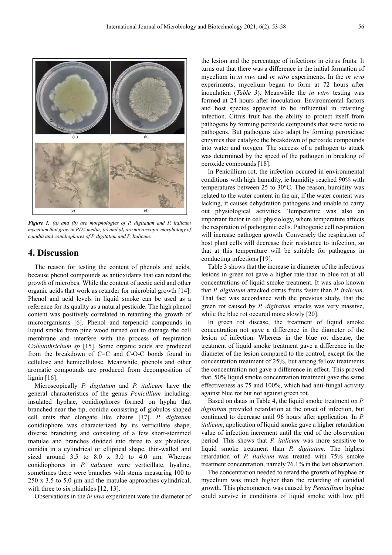

*Figure 1. (a) and (b) are morphologies of P. digitatum and P. italicum mycelium that grow in PDA media; (c) and (d) are microscopic morphology of conidia and conidiophores of P. digitatum and P. Italicum.* 

## **4. Discussion**

The reason for testing the content of phenols and acids, because phenol compounds as antioxidants that can retard the growth of microbes. While the content of acetic acid and other organic acids that work as retarder for microbial growth [14]. Phenol and acid levels in liquid smoke can be used as a reference for its quality as a natural pesticide. The high phenol content was positively correlated in retarding the growth of microorganisms [6]. Phenol and terpenoid compounds in liquid smoke from pine wood turned out to damage the cell membrane and interfere with the process of respiration *Colletothrichum sp* [15]. Some organic acids are produced from the breakdown of C=C and C-O-C bonds found in cellulose and hemicellulose. Meanwhile, phenols and other aromatic compounds are produced from decomposition of lignin [16].

Microscopically *P. digitatum* and *P. italicum* have the general characteristics of the genus *Penicillium* including: insulated hyphae, conidiophores formed on hypha that branched near the tip, conidia consisting of globulos-shaped cell units that elongate like chains [17]. *P. digitatum* conidiophore was characterized by its verticillate shape, diverse branching and consisting of a few short-stemmed matulae and branches divided into three to six phialides, conidia in a cylindrical or elliptical shape, thin-walled and sized around  $3.5$  to  $8.0 \times 3.0$  to  $4.0 \text{ }\mu\text{m}$ . Whereas conidiophores in *P. italicum* were verticillate, hyaline, sometimes there were branches with stems measuring 100 to 250 x 3.5 to 5.0  $\mu$ m and the matulae approaches cylindrical, with three to six phialides [12, 13].

Observations in the *in vivo* experiment were the diameter of

the lesion and the percentage of infections in citrus fruits. It turns out that there was a difference in the initial formation of mycelium in *in vivo* and *in vitro* experiments. In the *in vivo* experiments, mycelium began to form at 72 hours after inoculation (*Table 3*). Meanwhile the *in vitro* testing was formed at 24 hours after inoculation. Environmental factors and host species appeared to be influential in retarding infection. Citrus fruit has the ability to protect itself from pathogens by forming peroxide compounds that were toxic to pathogens. But pathogens also adapt by forming peroxidase enzymes that catalyze the breakdown of peroxide compounds into water and oxygen. The success of a pathogen to attack was determined by the speed of the pathogen in breaking of peroxide compounds [18].

In Penicillium rot, the infection occured in environmental conditions with high humidity, ie humidity reached 90% with temperatures between 25 to 30°C. The reason, humidity was related to the water content in the air, if the water content was lacking, it causes dehydration pathogens and unable to carry out physiological activities. Temperature was also an important factor in cell physiology, where temperature affects the respiration of pathogenic cells. Pathogenic cell respiration will increase pathogen growth. Conversely the respiration of host plant cells will decrease their resistance to infection, so that at this temperature will be suitable for pathogens in conducting infections [19].

Table 3 shows that the increase in diameter of the infectious lesions in green rot gave a higher rate than in blue rot at all concentrations of liquid smoke treatment. It was also known that *P. digitatum* attacked citrus fruits faster than *P. italicum*. That fact was accordance with the previous study, that the green rot caused by *P. digitatum* attacks was very massive, while the blue rot occured more slowly [20].

In green rot disease, the treatment of liquid smoke concentration not gave a difference in the diameter of the lesion of infection. Whereas in the blue rot disease, the treatment of liquid smoke treatment gave a difference in the diameter of the lesion compared to the control, except for the concentration treatment of 25%, but among fellow treatments the concentration not gave a difference in effect. This proved that, 50% liquid smoke concentration treatment gave the same effectiveness as 75 and 100%, which had anti-fungal activity against blue rot but not against green rot.

Based on datas in Table 4, the liquid smoke treatment on *P. digitatum* provided retardation at the onset of infection, but continued to decrease until 96 hours after application. In *P. italicum*, application of liquid smoke gave a higher retardation value of infection increment until the end of the observation period. This shows that *P. italicum* was more sensitive to liquid smoke treatment than *P. digitatum*. The highest retardation of *P. italicum* was treated with 75% smoke treatment concentration, namely 76.1% in the last observation.

The concentration needed to retard the growth of hyphae or mycelium was much higher than the retarding of conidial growth. This phenomenon was caused by *Penicillium* hyphae could survive in conditions of liquid smoke with low pH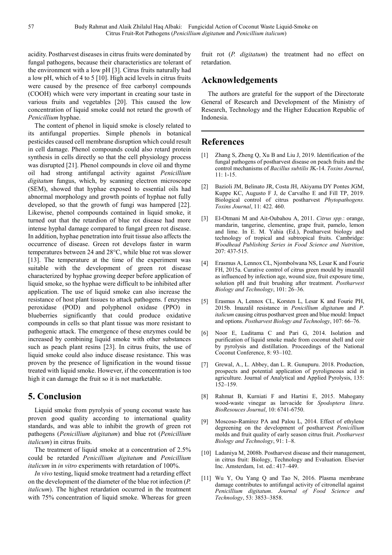acidity. Postharvest diseases in citrus fruits were dominated by fungal pathogens, because their characteristics are tolerant of the environment with a low pH [3]. Citrus fruits naturally had a low pH, which of 4 to 5 [10]. High acid levels in citrus fruits were caused by the presence of free carbonyl compounds (COOH) which were very important in creating sour taste in various fruits and vegetables [20]. This caused the low concentration of liquid smoke could not retard the growth of *Penicillium* hyphae.

The content of phenol in liquid smoke is closely related to its antifungal properties. Simple phenols in botanical pesticides caused cell membrane disruption which could result in cell damage. Phenol compounds could also retard protein synthesis in cells directly so that the cell physiology process was disrupted [21]. Phenol compounds in clove oil and thyme oil had strong antifungal activity against *Penicillium digitatum* fungus, which, by scanning electron microscope (SEM), showed that hyphae exposed to essential oils had abnormal morphology and growth points of hyphae not fully developed, so that the growth of fungi was hampered [22]. Likewise, phenol compounds contained in liquid smoke, it turned out that the retardion of blue rot disease had more intense hyphal damage compared to fungal green rot disease. In addition, hyphae penetration into fruit tissue also affects the occurrence of disease. Green rot develops faster in warm temperatures between 24 and 28°C, while blue rot was slower [13]. The temperature at the time of the experiment was suitable with the development of green rot disease characterized by hyphae growing deeper before application of liquid smoke, so the hyphae were difficult to be inhibited after application. The use of liquid smoke can also increase the resistance of host plant tissues to attack pathogens. f enzymes peroxidase (POD) and polyphenol oxidase (PPO) in blueberries significantly that could produce oxidative compounds in cells so that plant tissue was more resistant to pathogenic attack. The emergence of these enzymes could be increased by combining liquid smoke with other substances such as peach plant resins [23]. In citrus fruits, the use of liquid smoke could also induce disease resistance. This was proven by the presence of lignification in the wound tissue treated with liquid smoke. However, if the concentration is too high it can damage the fruit so it is not marketable.

## **5. Conclusion**

Liquid smoke from pyrolysis of young coconut waste has proven good quality according to international quality standards, and was able to inhibit the growth of green rot pathogens (*Penicillium digitatum*) and blue rot (*Penicillium italicum*) in citrus fruits.

The treatment of liquid smoke at a concentration of 2.5% could be retarded *Penicillium digitatum* and *Penicillium italicum* in *in vitro* experiments with retardation of 100%.

*In vivo* testing, liquid smoke treatment had a retarding effect on the development of the diameter of the blue rot infection (*P. italicum*). The highest retardation occurred in the treatment with 75% concentration of liquid smoke. Whereas for green

fruit rot (*P. digitatum*) the treatment had no effect on retardation.

## **Acknowledgements**

The authors are grateful for the support of the Directorate General of Research and Development of the Ministry of Research, Technology and the Higher Education Republic of Indonesia.

## **References**

- [1] Zhang S, Zheng Q, Xu B and Liu J, 2019. Identification of the fungal pathogens of postharvest disease on peach fruits and the control mechanisms of *Bacillus subtilis* JK-14. *Toxins Journal*, 11: 1-15.
- [2] Bazioli JM, Belinato JR, Costa JH, Akiyama DY Pontes JGM, Kuppe KC, Augusto F J, de Carvalho E and Fill TP, 2019. Biological control of citrus postharvest *Phytopathogens. Toxins Journal*, 11: 422. 460.
- [3] El-Otmani M and Ait-Oubahou A, 2011. *Citrus spp.*: orange, mandarin, tangerine, clementine, grape fruit, pamelo, lemon and lime. In E. M. Yahia (Ed.), Postharvest biology and technology of tropical and subtropical fruits. Cambridge: *Woodhead Publishing Series in Food Science and Nutrition*, 207: 437-515.
- [4] Erasmus A, Lennox CL, Njombolwana NS, Lesar K and Fourie FH, 2015a. Curative control of citrus green mould by imazalil as influenced by infection age, wound size, fruit exposure time, solution pH and fruit brushing after treatment. *Postharvest Biology and Technology*, 101: 26–36.
- [5] Erasmus A, Lennox CL, Korsten L, Lesar K and Fourie PH, 2015b. Imazalil resistance in *Penicillium digitatum* and *P. italicum* causing citrus postharvest green and blue mould: Impact and options. *Postharvest Biology and Technology*, 107: 66–76.
- [6] Noor E, Luditama C and Pari G, 2014. Isolation and purification of liquid smoke made from coconut shell and coir by pyrolysis and distillation. Proceedings of the National Coconut Conference, 8: 93–102.
- [7] Grewal, A., L. Abbey, dan L. R. Gunupuru. 2018. Production, prospects and potential application of pyroligneous acid in agriculture. Journal of Analytical and Applied Pyrolysis, 135: 152–159.
- [8] Rahmat B, Kurniati F and Hartini E, 2015. Mahogany wood-waste vinegar as larvacide for *Spodoptera litura*. *BioResouces Journal*, 10: 6741-6750.
- [9] Moscoso-Ramírez PA and Palou L, 2014. Effect of ethylene degreening on the development of postharvest *Penicillium* molds and fruit quality of early season citrus fruit. *Postharvest Biology and Technology*, 91: 1–8.
- [10] Ladaniya M, 2008b. Postharvest disease and their management, in citrus fruit: Biology, Technology and Evaluation. Elsevier Inc. Amsterdam, 1st. ed.: 417–449.
- [11] Wu Y, Ou Yang Q and Tao N, 2016. Plasma membrane damage contributes to antifungal activity of citronellal against *Penicillium digitatum*. *Journal of Food Science and Technology*, 53: 3853–3858.